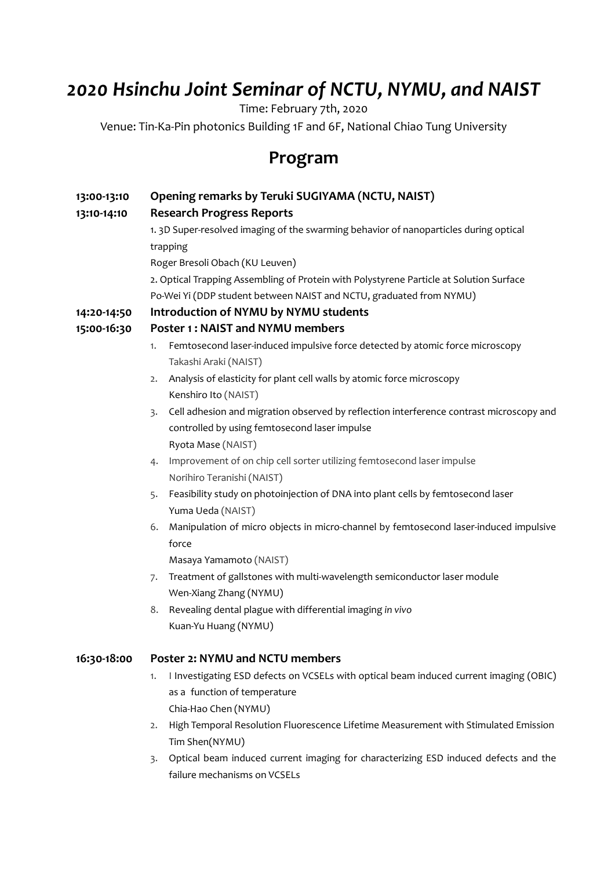## *2020 Hsinchu Joint Seminar of NCTU, NYMU, and NAIST*

Time: February 7th, 2020

Venue: Tin‐Ka‐Pin photonics Building 1F and 6F, National Chiao Tung University

## **Program**

| 13:00-13:10 | Opening remarks by Teruki SUGIYAMA (NCTU, NAIST)                                                            |
|-------------|-------------------------------------------------------------------------------------------------------------|
| 13:10-14:10 | <b>Research Progress Reports</b>                                                                            |
|             | 1. 3D Super-resolved imaging of the swarming behavior of nanoparticles during optical                       |
|             | trapping                                                                                                    |
|             | Roger Bresoli Obach (KU Leuven)                                                                             |
|             | 2. Optical Trapping Assembling of Protein with Polystyrene Particle at Solution Surface                     |
|             | Po-Wei Yi (DDP student between NAIST and NCTU, graduated from NYMU)                                         |
| 14:20-14:50 | Introduction of NYMU by NYMU students                                                                       |
| 15:00-16:30 | Poster 1: NAIST and NYMU members                                                                            |
|             | Femtosecond laser-induced impulsive force detected by atomic force microscopy<br>1.                         |
|             | Takashi Araki (NAIST)                                                                                       |
|             | Analysis of elasticity for plant cell walls by atomic force microscopy<br>2.                                |
|             | Kenshiro Ito (NAIST)                                                                                        |
|             | Cell adhesion and migration observed by reflection interference contrast microscopy and<br>$\overline{3}$ . |
|             | controlled by using femtosecond laser impulse                                                               |
|             | Ryota Mase (NAIST)                                                                                          |
|             | Improvement of on chip cell sorter utilizing femtosecond laser impulse<br>4.                                |
|             | Norihiro Teranishi (NAIST)                                                                                  |
|             | Feasibility study on photoinjection of DNA into plant cells by femtosecond laser<br>5.                      |
|             | Yuma Ueda (NAIST)                                                                                           |
|             | Manipulation of micro objects in micro-channel by femtosecond laser-induced impulsive<br>6.                 |
|             | force                                                                                                       |
|             | Masaya Yamamoto (NAIST)                                                                                     |
|             | Treatment of gallstones with multi-wavelength semiconductor laser module<br>7.                              |
|             | Wen-Xiang Zhang (NYMU)                                                                                      |
|             | Revealing dental plague with differential imaging in vivo<br>8.                                             |
|             | Kuan-Yu Huang (NYMU)                                                                                        |
| 16:30-18:00 | Poster 2: NYMU and NCTU members                                                                             |
|             | I Investigating ESD defects on VCSELs with optical beam induced current imaging (OBIC)<br>1.                |
|             | as a function of temperature                                                                                |
|             | Chia-Hao Chen (NYMU)                                                                                        |
|             | High Temporal Resolution Fluorescence Lifetime Measurement with Stimulated Emission<br>2.                   |
|             | Tim Shen(NYMU)                                                                                              |
|             | Optical beam induced current imaging for characterizing ESD induced defects and the<br>3.                   |
|             | failure mechanisms on VCSELs                                                                                |